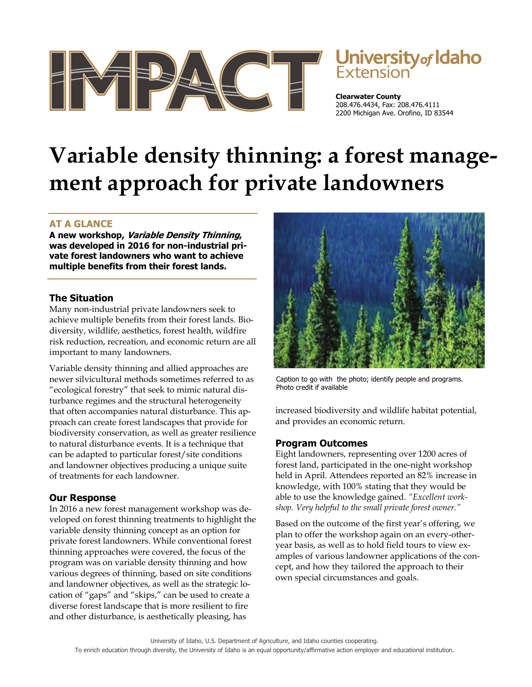

# University of Idaho

**Clearwater County**  208.476.4434, Fax: 208.476.4111 2200 Michigan Ave. Orofino, ID 83544

# **Variable density thinning: a forest management approach for private landowners**

## **AT A GLANCE**

**A new workshop, Variable Density Thinning, was developed in 2016 for non-industrial private forest landowners who want to achieve multiple benefits from their forest lands.** 

#### **The Situation**

Many non-industrial private landowners seek to achieve multiple benefits from their forest lands. Biodiversity, wildlife, aesthetics, forest health, wildfire risk reduction, recreation, and economic return are all important to many landowners.

Variable density thinning and allied approaches are newer silvicultural methods sometimes referred to as "ecological forestry" that seek to mimic natural disturbance regimes and the structural heterogeneity that often accompanies natural disturbance. This approach can create forest landscapes that provide for biodiversity conservation, as well as greater resilience to natural disturbance events. It is a technique that can be adapted to particular forest/site conditions and landowner objectives producing a unique suite of treatments for each landowner.

## **Our Response**

In 2016 a new forest management workshop was developed on forest thinning treatments to highlight the variable density thinning concept as an option for private forest landowners. While conventional forest thinning approaches were covered, the focus of the program was on variable density thinning and how various degrees of thinning, based on site conditions and landowner objectives, as well as the strategic location of "gaps" and "skips," can be used to create a diverse forest landscape that is more resilient to fire and other disturbance, is aesthetically pleasing, has



Caption to go with the photo; identify people and programs. Photo credit if available

increased biodiversity and wildlife habitat potential, and provides an economic return.

#### **Program Outcomes**

Eight landowners, representing over 1200 acres of forest land, participated in the one-night workshop held in April. Attendees reported an 82% increase in knowledge, with 100% stating that they would be able to use the knowledge gained. *"Excellent workshop. Very helpful to the small private forest owner."* 

Based on the outcome of the first year's offering, we plan to offer the workshop again on an every-otheryear basis, as well as to hold field tours to view examples of various landowner applications of the concept, and how they tailored the approach to their own special circumstances and goals.